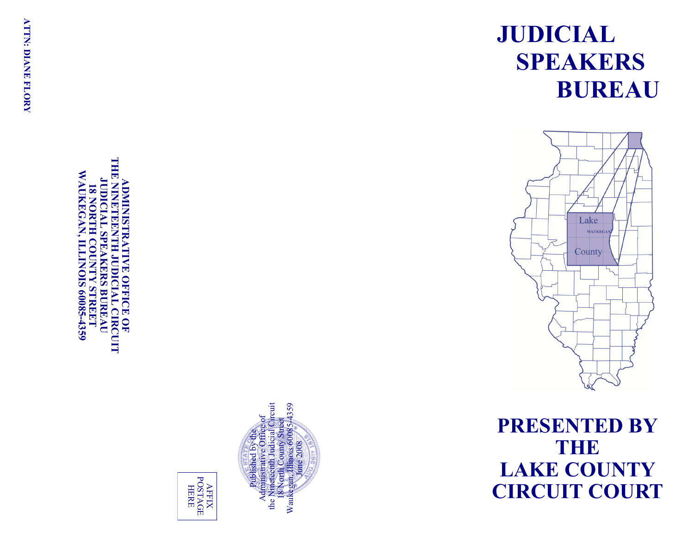# THE **THE NINETEENTH JUDICIAL CIRCUIT WAUKEGAN WAUKEGAN, ILLINOIS 60085JUDICIAL SPEAKERS BUREAU JUDICIAL SPEAKERS BUREAU ADMINISTRATIVE OFFICE OF NINETE DMINISTRATIVE OFFICE OF IS NORTH 18 NORTH COUNTY STREET ENTH JUDICIAL CIRCUIT COUNTY STREET -4359**



AFFIX<br>POSTAGE POSTAGE **HERE** 

# **JUDICIAL SPEAKERS BUREAU**



**PRESENTED BY THEF LAKE COUNTY CIRCUIT COURT**